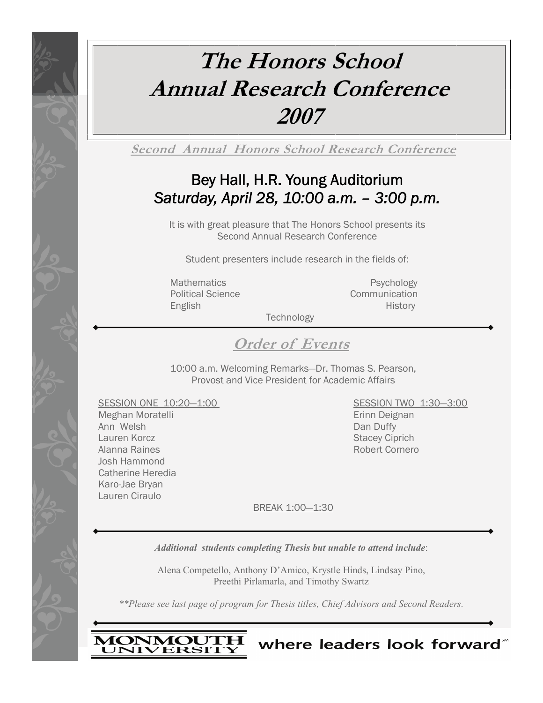# **The Honors School Annual Research Conference 2007**

**Second Annual Honors School Research Conference**

# Bey Hall, H.R. Young Auditorium *Saturday, April 28, 10:00 a.m. – 3:00 p.m.*

It is with great pleasure that The Honors School presents its Second Annual Research Conference

Student presenters include research in the fields of:

Mathematics **Psychology** Political Science **Communication** 

English History and English History and The English History and The English History and The English History and The English History and The English History and The English History and The English History and The English Hi

**Technology** 

**Order of Events**

10:00 a.m. Welcoming Remarks—Dr. Thomas S. Pearson, Provost and Vice President for Academic Affairs

SESSION ONE 10:20-1:00 SESSION TWO 1:30-3:00

Meghan Moratelli **Erinni Deignan** Ann Welsh **Dan Duffy** Lauren Korcz **Stacey Ciprich** Stacey Ciprich Alanna Raines **Robert Cornero** Robert Cornero Josh Hammond Catherine Heredia Karo-Jae Bryan Lauren Ciraulo

where leaders look forward<sup>\*\*</sup>

BREAK 1:00—1:30

*Additional students completing Thesis but unable to attend include*:

Alena Competello, Anthony D'Amico, Krystle Hinds, Lindsay Pino, Preethi Pirlamarla, and Timothy Swartz

*\*\*Please see last page of program for Thesis titles, Chief Advisors and Second Readers.* 

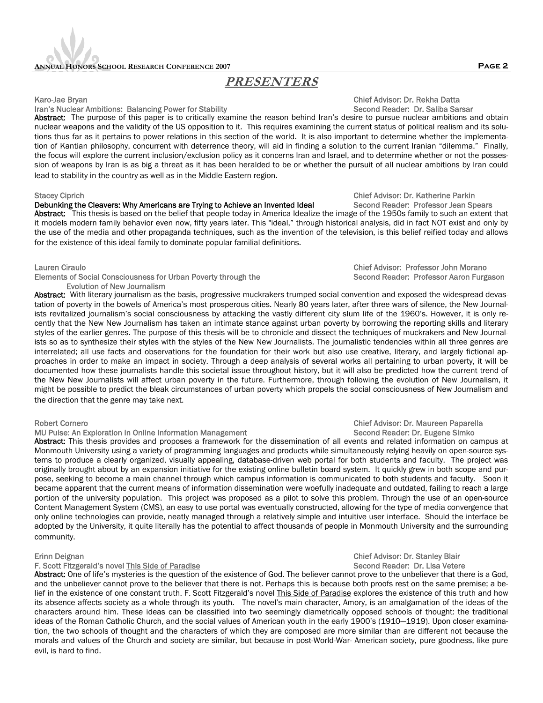## **ANNUAL HONORS SCHOOL RESEARCH CONFERENCE 2007 Page 2**

## **PRESENTERS**

### Iran's Nuclear Ambitions: Balancing Power for Stability Second Reader: Dr. Saliba Sarsar

Abstract: The purpose of this paper is to critically examine the reason behind Iran's desire to pursue nuclear ambitions and obtain nuclear weapons and the validity of the US opposition to it. This requires examining the current status of political realism and its solutions thus far as it pertains to power relations in this section of the world. It is also important to determine whether the implementation of Kantian philosophy, concurrent with deterrence theory, will aid in finding a solution to the current Iranian "dilemma." Finally, the focus will explore the current inclusion/exclusion policy as it concerns Iran and Israel, and to determine whether or not the possession of weapons by Iran is as big a threat as it has been heralded to be or whether the pursuit of all nuclear ambitions by Iran could lead to stability in the country as well as in the Middle Eastern region.

## Stacey Ciprich<br> **Debunking the Cleavers: Why Americans are Trying to Achieve an Invented Ideal** Chief Advisor: Dr. Katherine Parkin Debunking the Cleavers: Why Americans are Trying to Achieve an Invented Ideal

Abstract: This thesis is based on the belief that people today in America Idealize the image of the 1950s family to such an extent that it models modern family behavior even now, fifty years later. This "ideal," through historical analysis, did in fact NOT exist and only by the use of the media and other propaganda techniques, such as the invention of the television, is this belief reified today and allows for the existence of this ideal family to dominate popular familial definitions.

Elements of Social Consciousness for Urban Poverty through the Second Reader: Professor Aaron Furgason Evolution of New Journalism

Abstract: With literary journalism as the basis, progressive muckrakers trumped social convention and exposed the widespread devastation of poverty in the bowels of America's most prosperous cities. Nearly 80 years later, after three wars of silence, the New Journalists revitalized journalism's social consciousness by attacking the vastly different city slum life of the 1960's. However, it is only recently that the New New Journalism has taken an intimate stance against urban poverty by borrowing the reporting skills and literary styles of the earlier genres. The purpose of this thesis will be to chronicle and dissect the techniques of muckrakers and New Journalists so as to synthesize their styles with the styles of the New New Journalists. The journalistic tendencies within all three genres are interrelated; all use facts and observations for the foundation for their work but also use creative, literary, and largely fictional approaches in order to make an impact in society. Through a deep analysis of several works all pertaining to urban poverty, it will be documented how these journalists handle this societal issue throughout history, but it will also be predicted how the current trend of the New New Journalists will affect urban poverty in the future. Furthermore, through following the evolution of New Journalism, it might be possible to predict the bleak circumstances of urban poverty which propels the social consciousness of New Journalism and the direction that the genre may take next.

### MU Pulse: An Exploration in Online Information Management

Abstract: This thesis provides and proposes a framework for the dissemination of all events and related information on campus at Monmouth University using a variety of programming languages and products while simultaneously relying heavily on open-source systems to produce a clearly organized, visually appealing, database-driven web portal for both students and faculty. The project was originally brought about by an expansion initiative for the existing online bulletin board system. It quickly grew in both scope and purpose, seeking to become a main channel through which campus information is communicated to both students and faculty. Soon it became apparent that the current means of information dissemination were woefully inadequate and outdated, failing to reach a large portion of the university population. This project was proposed as a pilot to solve this problem. Through the use of an open-source Content Management System (CMS), an easy to use portal was eventually constructed, allowing for the type of media convergence that only online technologies can provide, neatly managed through a relatively simple and intuitive user interface. Should the interface be adopted by the University, it quite literally has the potential to affect thousands of people in Monmouth University and the surrounding community.

## F. Scott Fitzgerald's novel This Side of Paradise

Abstract: One of life's mysteries is the question of the existence of God. The believer cannot prove to the unbeliever that there is a God, and the unbeliever cannot prove to the believer that there is not. Perhaps this is because both proofs rest on the same premise; a belief in the existence of one constant truth. F. Scott Fitzgerald's novel This Side of Paradise explores the existence of this truth and how its absence affects society as a whole through its youth. The novel's main character, Amory, is an amalgamation of the ideas of the characters around him. These ideas can be classified into two seemingly diametrically opposed schools of thought: the traditional ideas of the Roman Catholic Church, and the social values of American youth in the early 1900's (1910—1919). Upon closer examination, the two schools of thought and the characters of which they are composed are more similar than are different not because the morals and values of the Church and society are similar, but because in post-World-War- American society, pure goodness, like pure evil, is hard to find.

## Karo-Jae Bryan Chief Advisor: Dr. Rekha Datta

Lauren Ciraulo Chief Advisor: Professor John Morano

# Robert Cornero Cornero Chief Advisor: Dr. Maureen Paparella<br>MU Pulse: An Exploration in Online Information Management Chief Chief Advisor: Dr. Eugene Simko

# Erinn Deignan Chief Advisor: Dr. Stanley Blair<br>F. Scott Fitzgerald's novel This Side of Paradise<br>F. Scott Fitzgerald's novel This Side of Paradise

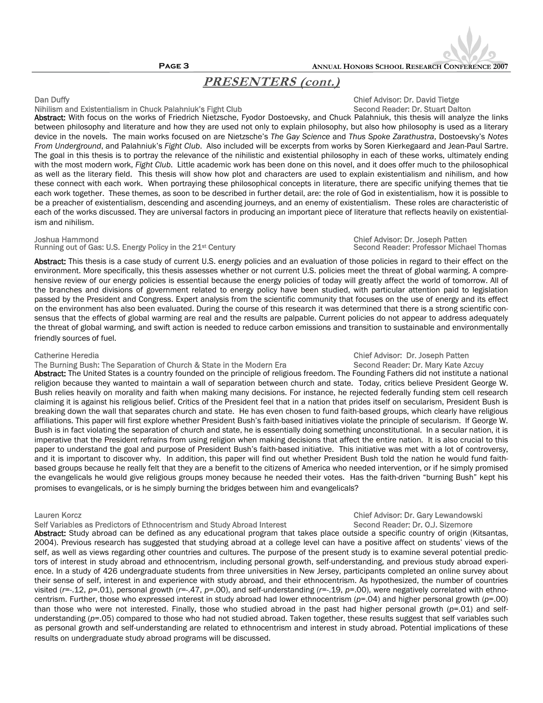

**Page 3 ANNUAL HONORS SCHOOL RESEARCH CONFERENCE 2007** 

## **PRESENTERS (cont.)**

### Nihilism and Existentialism in Chuck Palahniuk's Fight Club Second Reader: Dr. Stuart Dalton

Abstract: With focus on the works of Friedrich Nietzsche, Fyodor Dostoevsky, and Chuck Palahniuk, this thesis will analyze the links between philosophy and literature and how they are used not only to explain philosophy, but also how philosophy is used as a literary device in the novels. The main works focused on are Nietzsche's *The Gay Science* and *Thus Spoke Zarathustra*, Dostoevsky's *Notes From Underground*, and Palahniuk's *Fight Club*. Also included will be excerpts from works by Soren Kierkegaard and Jean-Paul Sartre. The goal in this thesis is to portray the relevance of the nihilistic and existential philosophy in each of these works, ultimately ending with the most modern work, *Fight Club*. Little academic work has been done on this novel, and it does offer much to the philosophical as well as the literary field. This thesis will show how plot and characters are used to explain existentialism and nihilism, and how these connect with each work. When portraying these philosophical concepts in literature, there are specific unifying themes that tie each work together. These themes, as soon to be described in further detail, are: the role of God in existentialism, how it is possible to be a preacher of existentialism, descending and ascending journeys, and an enemy of existentialism. These roles are characteristic of each of the works discussed. They are universal factors in producing an important piece of literature that reflects heavily on existentialism and nihilism.

## Running out of Gas: U.S. Energy Policy in the 21<sup>st</sup> Century

Abstract: This thesis is a case study of current U.S. energy policies and an evaluation of those policies in regard to their effect on the environment. More specifically, this thesis assesses whether or not current U.S. policies meet the threat of global warming. A comprehensive review of our energy policies is essential because the energy policies of today will greatly affect the world of tomorrow. All of the branches and divisions of government related to energy policy have been studied, with particular attention paid to legislation passed by the President and Congress. Expert analysis from the scientific community that focuses on the use of energy and its effect on the environment has also been evaluated. During the course of this research it was determined that there is a strong scientific consensus that the effects of global warming are real and the results are palpable. Current policies do not appear to address adequately the threat of global warming, and swift action is needed to reduce carbon emissions and transition to sustainable and environmentally friendly sources of fuel.

### Catherine Heredia Chief Advisor: Dr. Joseph Patten

The Burning Bush: The Separation of Church & State in the Modern Era Summan Second Reader: Dr. Mary Kate Azcuy

Abstract: The United States is a country founded on the principle of religious freedom. The Founding Fathers did not institute a national religion because they wanted to maintain a wall of separation between church and state. Today, critics believe President George W. Bush relies heavily on morality and faith when making many decisions. For instance, he rejected federally funding stem cell research claiming it is against his religious belief. Critics of the President feel that in a nation that prides itself on secularism, President Bush is breaking down the wall that separates church and state. He has even chosen to fund faith-based groups, which clearly have religious affiliations. This paper will first explore whether President Bush's faith-based initiatives violate the principle of secularism. If George W. Bush is in fact violating the separation of church and state, he is essentially doing something unconstitutional. In a secular nation, it is imperative that the President refrains from using religion when making decisions that affect the entire nation. It is also crucial to this paper to understand the goal and purpose of President Bush's faith-based initiative. This initiative was met with a lot of controversy, and it is important to discover why. In addition, this paper will find out whether President Bush told the nation he would fund faithbased groups because he really felt that they are a benefit to the citizens of America who needed intervention, or if he simply promised the evangelicals he would give religious groups money because he needed their votes. Has the faith-driven "burning Bush" kept his promises to evangelicals, or is he simply burning the bridges between him and evangelicals?

Self Variables as Predictors of Ethnocentrism and Study Abroad Interest Second Reader: Dr. O.J. Sizemore

Abstract: Study abroad can be defined as any educational program that takes place outside a specific country of origin (Kitsantas, 2004). Previous research has suggested that studying abroad at a college level can have a positive affect on students' views of the self, as well as views regarding other countries and cultures. The purpose of the present study is to examine several potential predictors of interest in study abroad and ethnocentrism, including personal growth, self-understanding, and previous study abroad experience. In a study of 426 undergraduate students from three universities in New Jersey, participants completed an online survey about their sense of self, interest in and experience with study abroad, and their ethnocentrism. As hypothesized, the number of countries visited (*r*=-.12, *p*=.01), personal growth (*r*=-.47, *p*=.00), and self-understanding (*r*=-.19, *p*=.00), were negatively correlated with ethnocentrism. Further, those who expressed interest in study abroad had lower ethnocentrism (*p*=.04) and higher personal growth (*p*=.00) than those who were not interested. Finally, those who studied abroad in the past had higher personal growth (*p*=.01) and selfunderstanding (p=.05) compared to those who had not studied abroad. Taken together, these results suggest that self variables such as personal growth and self-understanding are related to ethnocentrism and interest in study abroad. Potential implications of these results on undergraduate study abroad programs will be discussed.

## Dan Duffy Chief Advisor: Dr. David Tietge

# Joshua Hammond Chief Advisor: Dr. Joseph Patten

# Lauren Korcz Chief Advisor: Dr. Gary Lewandowski